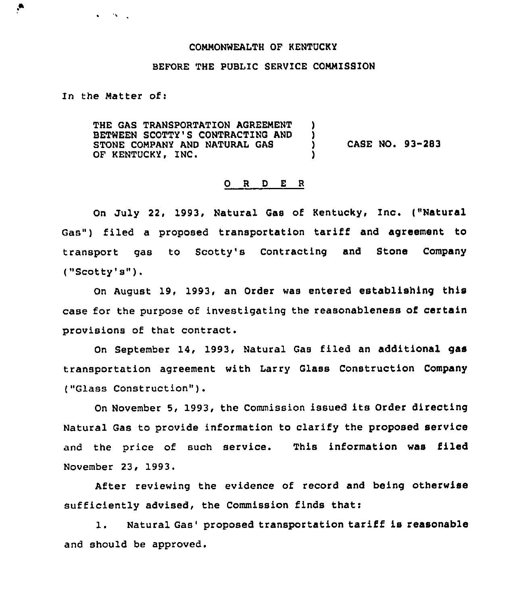## COMMONWEALTH OF KENTUCKY

## BEFORE THE PUBLIC SERVICE COMMISSION

In the Matter of:

 $\mathbf{v} = \mathbf{v} \mathbf{v} + \mathbf{v}$ 

 $\bullet$ 

THE GAS TRANSPORTATION AGREEMENT BETWEEN SCOTTY'S CONTRACTING AND )<br>STONE COMPANY AND NATURAL GAS STONE COMPANY AND NATURAL GAS<br>
OF KENTUCKY, INC.<br>
OF KENTUCKY, INC.

## 0 <sup>R</sup> <sup>D</sup> <sup>E</sup> <sup>R</sup>

On July 22, 1993, Natural Gas of Kentucky, Inc. ("Natural Gas") filed a proposed transportation tariff and agreement to transport gas to Scotty's Contracting and Stone Company ("Scotty's").

On August 19, 1993, an Order was entered establishing this case for the purpose of investigating the reasonableness of certain provisions of that contract.

On September 14, 1993, Natural Gas filed an additional gas transportation agreement with Larry Glass Construction Company ("Glass Construction" ).

On November 5, 1993, the Commission issued its Order directing Natural Gas to provide information to clarify the proposed service and the price of such service. This information was filed November 23, 1993.

After reviewing the evidence of record and being otherwise sufficiently advised, the Commission finds that:

1. Natural Gas' proposed transportation tariff is reasonable and should be approved.